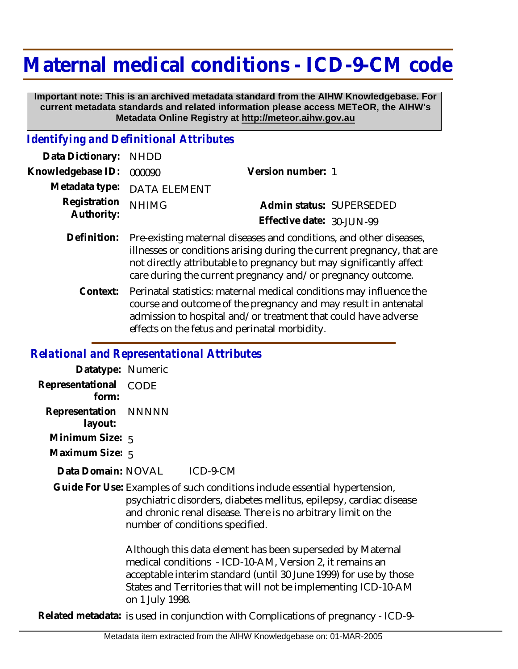## **Maternal medical conditions - ICD-9-CM code**

 **Important note: This is an archived metadata standard from the AIHW Knowledgebase. For current metadata standards and related information please access METeOR, the AIHW's Metadata Online Registry at http://meteor.aihw.gov.au**

## *Identifying and Definitional Attributes*

| Data Dictionary: NHDD    |                             |                              |  |
|--------------------------|-----------------------------|------------------------------|--|
| Knowledgebase ID: 000090 |                             | Version number: 1            |  |
|                          | Metadata type: DATA ELEMENT |                              |  |
| Registration NHIMG       |                             | Admin status: SUPERSEDED     |  |
| Authority:               |                             | Effective date: $30$ -JUN-99 |  |
|                          |                             |                              |  |

- Pre-existing maternal diseases and conditions, and other diseases, illnesses or conditions arising during the current pregnancy, that are not directly attributable to pregnancy but may significantly affect care during the current pregnancy and/or pregnancy outcome. **Definition:**
	- Perinatal statistics: maternal medical conditions may influence the course and outcome of the pregnancy and may result in antenatal admission to hospital and/or treatment that could have adverse effects on the fetus and perinatal morbidity. **Context:**

## *Relational and Representational Attributes*

| Datatype: Numeric               |                                                                                                                                                                                                                                                                                  |
|---------------------------------|----------------------------------------------------------------------------------------------------------------------------------------------------------------------------------------------------------------------------------------------------------------------------------|
| Representational<br>form:       | <b>CODE</b>                                                                                                                                                                                                                                                                      |
| Representation NNNNN<br>layout: |                                                                                                                                                                                                                                                                                  |
| Minimum Size: 5                 |                                                                                                                                                                                                                                                                                  |
| Maximum Size: 5                 |                                                                                                                                                                                                                                                                                  |
| Data Domain: NOVAL              | ICD-9-CM                                                                                                                                                                                                                                                                         |
|                                 | Guide For Use: Examples of such conditions include essential hypertension,<br>psychiatric disorders, diabetes mellitus, epilepsy, cardiac disease<br>and chronic renal disease. There is no arbitrary limit on the<br>number of conditions specified.                            |
|                                 | Although this data element has been superseded by Maternal<br>medical conditions - ICD-10-AM, Version 2, it remains an<br>acceptable interim standard (until 30 June 1999) for use by those<br>States and Territories that will not be implementing ICD-10-AM<br>on 1 July 1998. |
|                                 | Related metadata: is used in conjunction with Complications of pregnancy $\lfloor$ LCD-0                                                                                                                                                                                         |

**Related metadata:** is used in conjunction with Complications of pregnancy - ICD-9-